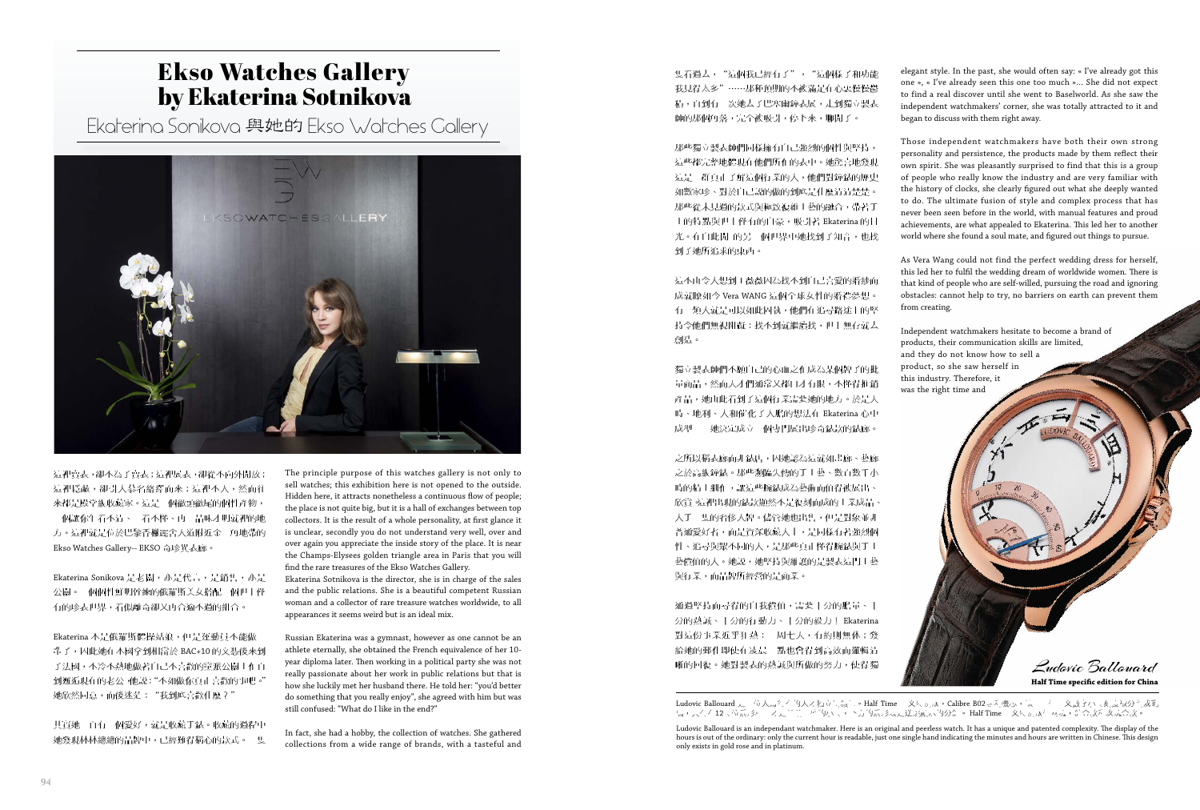隻看過去,"這個我已經有了","這個樣子和功能 我見得太多"……那種預期的不被滿足在心裏慢慢鬱 積,直到有一次她去了巴塞爾鐘表展,走到獨立製表 師的那個角落,完全被吸引,停下來,聊開了。

那些獨立製表師們同樣擁有自己強烈的個性與堅持, 這些都完整地體現在他們所作的表中。她驚喜地發現 這是一群真正了解這個行業的人,他們對鐘錶的歷史 如數家珍、對於自己說的做的到底是什麼清清楚楚。 那些從未見過的款式與極致複雜工藝的融合,帶著手 工的特點與世上僅有的自豪,吸引著 Ekaterina 的目 光。在自此開 的另一個世界中她找到了知音,也找 到了她所追求的東西。

這不由令人想到王薇薇因為找不到自己喜愛的婚紗而 成就瞭如今 Vera WANG 這個全球女性的婚禮夢想。 有一類人就是可以如此固執,他們在追尋路途上的堅 持令他們無視阻礙:找不到就繼續找,世上無存就去 創造。

之所以稱表廊而非錶店,因她認為這就如畫廊、藝廊 之於高級鐘錶。那些瀕臨失傳的手工藝、數百數千小 時的精工細作,讓這些腕錶成為藝術而值得被展出、 欣賞 這裡出現的錶款顯然不是復刻而成的工業成品 人手一隻的奢侈大牌。儘管她也出售,但是對象並非 普通愛好者,而是資深收藏人士,是同樣有著強烈個 性、追尋與眾不同的人,是那些真正懂得腕錶與手工 藝價值的人。她説,她堅持與維護的是製表這門工藝 與行業,而品牌所經營的是商業。

通過堅持而尋得的自我價值,需要十分的膽量、十 分的熱誠、十分的行動力、十分的毅力! Ekaterina 對這份事業近乎狂熱:一周七天,有約則無休;發 給她的郵件即使在凌晨三點也會得到高效而邏輯清 晰的回復。她對製表的熱誠與所做的努力,使得獨

獨立製表師們不願自己的心血之作成為某個牌子的批 量商品,然而天才們通常又都口才有限,不懂得推銷 產品,她由此看到了這個行業需要她的地方。於是天 時、地利、人和催化了大膽的想法在 Ekaterina 心中 成型——她決定成立一個專門展出珍奇錶款的錶廊。

The principle purpose of this watches gallery is not only to sell watches; this exhibition here is not opened to the outside. Hidden here, it attracts nonetheless a continuous flow of people; the place is not quite big, but it is a hall of exchanges between top collectors. It is the result of a whole personality, at first glance it is unclear, secondly you do not understand very well, over and over again you appreciate the inside story of the place. It is near the Champs-Elysees golden triangle area in Paris that you will find the rare treasures of the Ekso Watches Gallery.

這裡賣表,卻不為了賣表;這裡展表,卻從不向外開放; 這裡隱蔽,卻引人慕名絡繹而來;這裡不大,然而往 來都是殿堂級收藏家。這是一個徹頭徹尾的個性產物, 一個讓你乍看不清、二看不懂、再三品味才明就裡的地 方。這裡就是位於巴黎香榭麗舍大道附近金三角地帶的 Ekso Watches Gallery-- EKSO 奇珍異表廊。

Ekaterina Sonikova 是老闆,亦是代言,是銷售,亦是 公關。一個個性鮮明幹練的俄羅斯美女搭配一個世上僅 有的珍表世界,看似離奇卻又再合適不過的組合。

Ekaterina 本是俄羅斯體操姑娘,但是運動員不能做一 輩子,因此她在本國拿到相當於 BAC+10 的文憑後來到 了法國,不冷不熱地做著自己不喜歡的黨派公關工作直 到邂逅現在的老公,他說:"不如做你真正喜歡的事吧。" 她欣然同意,而後迷茫:"我到底喜歡什麼?"

其實她一直有一個愛好,就是收藏手錶。收藏的過程中 她發現林林總總的品牌中,已經難得稱心的款式。一隻 Ekaterina Sotnikova is the director, she is in charge of the sales and the public relations. She is a beautiful competent Russian woman and a collector of rare treasure watches worldwide, to all appearances it seems weird but is an ideal mix.

Russian Ekaterina was a gymnast, however as one cannot be an athlete eternally, she obtained the French equivalence of her 10 year diploma later. Then working in a political party she was not really passionate about her work in public relations but that is how she luckily met her husband there. He told her: "you'd better do something that you really enjoy", she agreed with him but was still confused: "What do I like in the end?"

In fact, she had a hobby, the collection of watches. She gathered collections from a wide range of brands, with a tasteful and

## Ekso Watches Gallery by Ekaterina Sotnikova

Ekaterina Sonikova 與她的 Ekso Watches Gallery



elegant style. In the past, she would often say: « I've already got this one », « I've already seen this one too much »… She did not expect to find a real discover until she went to Baselworld. As she saw the independent watchmakers' corner, she was totally attracted to it and began to discuss with them right away.

Those independent watchmakers have both their own strong personality and persistence, the products made by them reflect their own spirit. She was pleasantly surprised to find that this is a group of people who really know the industry and are very familiar with the history of clocks, she clearly figured out what she deeply wanted to do. The ultimate fusion of style and complex process that has never been seen before in the world, with manual features and proud achievements, are what appealed to Ekaterina. This led her to another world where she found a soul mate, and figured out things to pursue.

As Vera Wang could not find the perfect wedding dress for herself, this led her to fulfil the wedding dream of worldwide women. There is that kind of people who are self-willed, pursuing the road and ignoring obstacles: cannot help to try, no barriers on earth can prevent them from creating.

Independent watchmakers hesitate to become a brand of products, their communication skills are limited, and they do not know how to sell a product, so she saw herself in this industry. Therefore, it was the right time and

Ludovic Ballouard is an independant watchmaker. Here is an original and peerless watch. It has a unique and patented complexity. The display of the hours is out of the ordinary: only the current hour is readable, just one single hand indicating the minutes and hours are written in Chinese. This design

Ludovic Ballouard **Half Time specific edition for China**

Ludovic Ballouard 是一位天馬行空的天才獨立制錶師。Half Time 中文特別版, Calibre B02專利機芯,讓十二個中文數字小時刻度被分割成亂 碼,只有在12時位扇形框中才是當前正確的小時,下方的扇形環是逆跳顯示的分針。 Half Time 中文特別版僅兩塊,鉑金款和玫瑰金款

only exists in gold rose and in platinum.